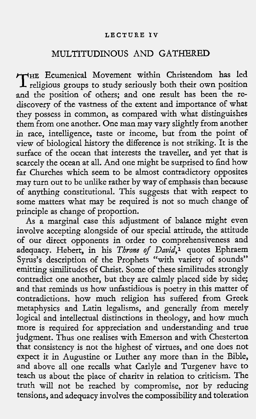### **LECTURE IV**

# MULTITUDINOUS AND GATHERED

 HE Ecumenical Movement within Christendom has led THE Ecumenical Movement within Christendom has led<br>religious groups to study seriously both their own position and the position of others; and one result has been the rediscovery of the vastness of the extent and importance of what they possess in common, as compared with what distinguishes them from one another. One man may vary slightly from another in race, intelligence, taste or income, but from the point of view of biological history the difference is not striking. It is the surface of the ocean that interests the traveller, and yet that is scarcely the ocean at all. And one might be surprised to find how far Churches which seem to be almost contradictory opposites may turn out to be unlike rather by way of emphasis than because of anything constitutional. This suggests that with respect to some matters what may be required is not so much change of principle as change of proportion.

As a marginal case this adjustment of balance might even involve accepting alongside of our special attitude, the attitude of our direct opponents in order to comprehensiveness and adequacy. Hebert, in his Throne of David,<sup>1</sup> quotes Ephraem Syrus's description of the Prophets "with variety of sounds" emitting similitudes of Christ. Some of these similitudes strongly contradict one another, but they are calmly placed side by side; and that reminds us how unfastidious is poetry in this matter of contradictions. how much religion has suffered from Greek metaphysics and Latin legalisms, and generally from merely logical and intellectual distinctions in theology, and how much more is required for appreciation and understanding and true judgment. Thus one realises with Emerson and with Chesterton that consistency is not the highest of virtues, and one does not expect it in Augustine or Luther any more than in the Bible, and above all one recalls what Carlyle and Turgenev have to teach us about the place of charity in relation to criticism. The truth will not be reached by compromise, nor by reducing tensions, and adequacy involves the compossibility and toleration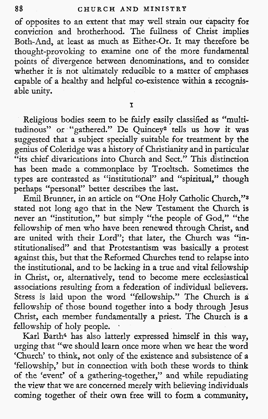of opposites to an extent that may well strain our capacity for conviction and brotherhood. The fullness of Christ implies Both-And, at least as much as Either-Or. It may therefore be thought-provoking to examine one of the more fundamental points of divergence between denominations, and to consider whether it is not ultimately reducible to a matter of emphases capable of a healthy and helpful co-existence within a recognisable unity.

I

Religious bodies seem to be fairly easily classified as "multitudinous" or "gathered." De Quincey2 tells us how it was suggested that a subject specially suitable for treatment by the genius of Coleridge was a history of Christianity and in particular "its chief divarications into Church and Sect." This distinction has been made a commonplace by Troeltsch. Sometimes the types are contrasted as "institutional" and "spiritual," though perhaps "personal" better describes the last.

Emil Brunner, in an article on "One Holy Catholic Church,"3 stated not long ago that in the New Testament the Church is never an "institution," but simply "the people of God," "the fellowship of men who have been renewed through Christ, and are united with their Lord"; that later, the Church was "institutionalised" and that Protestantism was basically a protest against this, but that the Reformed Churches tend to relapse into the institutional, and to be lacking in a true and vital fellowship in Christ, or, alternatively, tend to become mere ecclesiastical associations resulting from a federation of individual believers. Stress is laid upon the word "fellowship." The Church is a fellowship of those bound together into a body through Jesus Christ, each member fundamentally a priest. The Church is a fellowship of holy people.

Karl Barth4 has also latterly expressed himself in this way, urging that "we should learn once more when we hear the word 'Church' to think, not only of the existence and subsistence of a 'fellowship,' but in connection with both these words to think of the 'event' of a gathering-together," and while repudiating the view that we are concerned merely with believing individuals coming together of their own free will to form a community,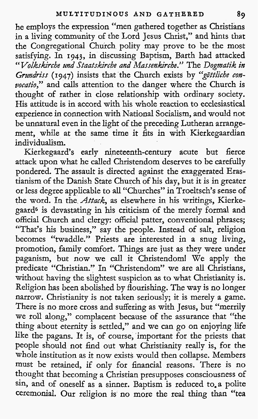he employs the expression "men gathered together as Christians in a living community of the Lord Jesus Christ," and hints that the Congregational Church polity may prove to be the most satisfying. In 1943, in discussing Baptism, Barth had attacked "Volkskirche und Staatskirche and Massenkirche." The Dogmatik in Grundriss (1947) insists that the Church exists by "göttliche convocatio," and calls attention to the danger where the Church is thought of rather in close relationship with ordinary society. His attitude is in accord with his whole reaction to ecclesiastical experience in connection with National Socialism, and would not be unnatural even in the light of the preceding Lutheran arrangement, while at the same time it fits in with Kierkegaardian individualism.

Kierkegaard's early nineteenth-century acute but fierce attack upon what he called Christendom deserves to be carefully pondered. The assault is directed against the exaggerated Erastianism of the Danish State Church of his day, but it is in greater or less degree applicable to all "Churches" in Troeltsch's sense of the word. In the *Attack*, as elsewhere in his writings, Kierkegaard5 is devastating in his criticism of the merely formal and official Church and clergy: official patter, conventional phrases; "That's his business," say the people. Instead of salt, religion becomes "twaddle." Priests are interested in a snug living, promotion, family comfort. Things are just as they were under paganism, but now we call it Christendom! We apply the predicate "Christian." In "Christendom" we are all Christians, without having the slightest suspicion as to what Christianity is. Religion has been abolished by flourishing. The way is no longer narrow. Christianity is not taken seriously; it is merely a game. There is no more cross and suffering as with Jesus, but "merrily we roll along," complacent because of the assurance that "the thing about eternity is settled," and we can go on enjoying life like the pagans. It is, of course, important for the priests that people should not find out what Christianity really is, for the whole institution as it now exists would then collapse. Members must be retained, if only for financial reasons. There is no thought that becoming a Christian presupposes consciousness of sin, and of oneself as a sinner. Baptism is reduced to,a polite ceremonial. Our religion is no more the real thing than "tea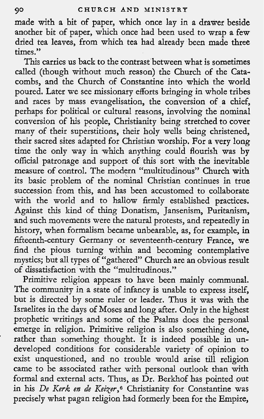made with a bit of paper, which once lay in a drawer beside another bit of paper, which once had been used to wrap a few dried tea leaves, from which tea had already been made three times."

This carries us back to the contrast between what is sometimes called (though without much reason) the Church of the Catacombs, and the Church of Constantine into which the world poured. Later we see missionary efforts bringing in whole tribes and races by mass evangelisation, the conversion of a chief, perhaps for political or cultural reasons, involving the nominal conversion of his people, Christianity being stretched to cover many of their superstitions, their holy wells being christened, their sacred sites adapted for Christian worship. For a very long time the only way in which anything could flourish was by official patronage and support of this sort with the inevitable measure of control. The modern "multitudinous" Church with its basic problem of the nominal Christian continues in true succession from this, and has been accustomed to collaborate with the world and to hallow firmly established practices. Against this kind of thing Donatism, Jansenism, Puritanism, and such movements were the natural protests, and repeatedly in history, when formalism became unbearable, as, for example, in fifteenth-century Germany or seventeenth-century France, we find the pious turning within and becoming contemplative mystics; but all types of "gathered" Church are an obvious result of dissatisfaction with the "multitudinous."

Primitive religion appears to have been mainly communal. The community in a state of infancy is unable to express itself, but is directed by some ruler or leader. Thus it was with the Israelites in the days of Moses and long after. Only in the highest prophetic writings and some of the Psalms does the personal emerge in religion. Primitive religion is also something done, rather than something thought. It is indeed possible in undeveloped conditions for considerable variety of opinion to exist unquestioned, and no trouble would arise till religion came to be associated rather with personal outlook than with formal and external acts. Thus, as Dr. Berkhof has pointed out in his De Kerk en de Keizer,<sup>6</sup> Christianity for Constantine was precisely what pagan religion had formerly been for the Empire,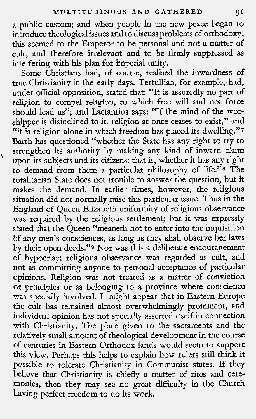a public custom; and when people in the new peace began to introduce theological issues and to discuss problems of orthodoxy, this seemed to the Emperor to be personal and not a matter of cult, and therefore irrelevant and to be firmly suppressed as interfering with his plan for imperial unity.

Some Christians had, of course, realised the inwardness of true Christianity in the early days. Tertullian, for example, had, under official opposition, stated that: "It is assuredly no part of religion to compel religion, to which free will and not force should lead us"; and Lactantius says: "If the mind of the worshipper is disinclined to it, religion at once ceases to exist," and "it is religion alone in which freedom has placed its dwelling."7 Barth has questioned "whether the State has any right to try to strengthen its authority by making any kind of inward claim upon its subjects and its citizens: that is, whether it has any right to demand from them a particular philosophy of life."s The totalitarian State does not trouble to answer the question, but it makes the demand. In earlier times, however, the religious situation did not normally raise this particular issue. Thus in the England of Queen Elizabeth uniformity of religious observance was required by the religious settlement; but it was expressly stated that the Queen "meaneth not to enter into the inquisition bf any men's consciences, as long as they shall observe her laws by their open deeds."<sup>9</sup> Nor was this a deliberate encouragement of hypocrisy; religious observance was regarded as cult, and not as committing anyone to personal acceptance of particular opinions. Religion was not treated as a matter of conviction or principles or as belonging to a province where conscience was specially involved. It might appear that in Eastern Europe the cult has remained almost overwhelmingly prominent, and individual opinion has not specially asserted itself in connection with Christianity. The place given to the sacraments and the relatively small amount of theological development in the course of centuries in Eastern Orthodox lands would seem to support this view. Perhaps this helps to explain how rulers still think it possible to tolerate Christianity in Communist states. If they believe that Christianity is chiefly a matter of rites and ceremonies, then they may see no great difficulty in the Church having perfect freedom to do its work.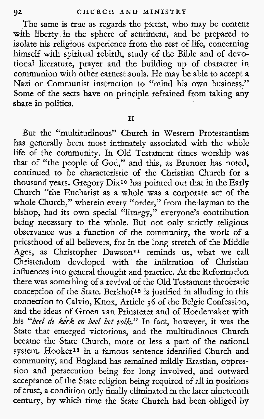The same is true as regards the pietist, who may be content with liberty in the sphere of sentiment, and be prepared to isolate his religious experience from the rest of life, concerning himself with spiritual rebirth, study of the Bible and of devotional literature, prayer and the building up of character in communion with other earnest souls. He may be able to accept a Nazi or Communist instruction to "mind his own business." Some of the sects have on principle refrained from taking any share in politics.

I1

But the "multitudinous" Church in Western Protestantism has generally been most intimately associated with the whole life of the community. In Old Testament times worship was that of "the people of God," and this, as Brunner has noted, continued to be characteristic of the Christian Church for a thousand years. Gregory Dix<sup>10</sup> has pointed out that in the Early Church "the Eucharist as a whole was a corporate act of the whole Church," wherein every "order," from the layman to the bishop, had its own special "liturgy," everyone's contribution being necessary to the whole. But not only strictly religious observance was a function of the community, the work of a priesthood of all believers, for in the long stretch of the Middle Ages, as Christopher Dawson<sup>11</sup> reminds us, what we call Christendom developed with the infiltration of Christian influences into general thought and practice. At the Reformation there was something of a revival of the Old Testament theocratic conception of the State. Berkhof<sup>12</sup> is justified in alluding in this connection to Calvin, Knox, Article 36 of the Belgic Confession, and the ideas of Groen van Prinsterer and of Hoedemaker with his "heel de kerk en heel het volk." In fact, however, it was the State that emerged victorious, and the multitudinous Church became the State Church, more or less a part of the national system. Hooker<sup>13</sup> in a famous sentence identified Church and community, and England has remained mildly Erastian, oppression and persecution being for long involved, and outward acceptance of the State religion being required of all in positions of trust, a condition only finally eliminated in the later nineteenth century, by which time the State Church had been obliged by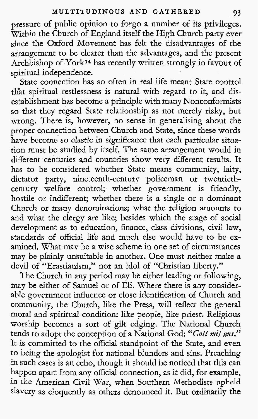pressure of public opinion to forgo a number of its privileges. Within the Church of England itself the High Church party ever since the Oxford Movement has felt the disadvantages of the arrangement to be clearer than the advantages, and the present Archbishop of York14 has recently written strongly in favour of spiritual independence.

State connection has so often in real life meant State control th'at spiritual restlessness is natural with regard to it, and disestablishment has become a principle with many Nonconformists so that they regard State relationship as not merely risky, but wrong. There is, however, no sense in generalising about the proper connection between Church and State, since these words have become so elastic in significance that each particular situation must be studied by itseif. The same arrangement would in different centuries and countries show very different results. It has to be considered whether State means community, laity, dictator party, nineteenth-century policeman or twentiethcentury welfare control; whether government is friendly, hostile or indifferent; whether there is a single or a dominant Church or many denominations; what the religion amounts to and what the clergy are like; besides which the stage of social development as to education, finance, class divisions, civil law, standards of official life and much else would have to be examined. What mav be a wise scheme in one set of circumstances may be plainly unsuitable in another. One must neither make a devil of "Erastianism," nor an idol of "Christian liberty."

The Church in any period may be either leading or following, mav be either of Samuel or of Eli. Where there is anv considerable government influence or close identification of Church and community, the Church, like the Press, will reflect the general moral and spiritual condition: like people, like priest. Religious worship becomes a sort of gilt edging. The National Church tends to adopt the conception of a National God: "Gott mit uns. It is committed to the official standpoint of the State, and even to being the apologist for national blunders and sins. Preaching in such cases is an echo, though it should be noticed that this can happen apart from any official connection, as it did, for example, in the American Civil War, when Southern Methodists upheld slavery as eloquently as others denounced it. But ordinarily the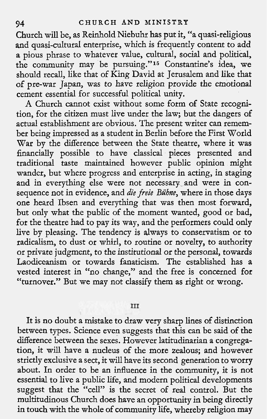Church will be, as Reinhold Niebuhr has put it, "a quasi-religious and quasi-cultural enterprise, which is frequently content to add a pious phrase to whatever value, cultural, social and political, the community may be pursuing."l5 Constantine's idea, we should recall, like that of King David at Jerusalem and like that of pre-war Japan, was to have religion provide the emotional cement essential for successful political unity.

**A** Church cannot exist without some form of State recognition, for the citizen must live under the law; but the dangers of actual establishment are obvious. The present writer can remember being impressed as a student in Berlin before the First World War by the difference between the State theatre, where it was financially possible to have classical pieces presented and traditional taste maintained however public opinion might wander, but where progress and enterprise in acting, in staging and in everything else were not necessary and were in consequence not in evidence, and die freie Bühne, where in those days one heard Ibsen and everything that was then most forward, but only what the public of the moment wanted, good or bad, for the theatre had to pay its way, and the performers could only live by pleasing. The tendency is always to conservatism or to radicalism, to dust or whirl, to routine or novelty, to authority or private judgment, to the institutional or the personal, towards Laodiceanism or towards fanaticism. The established has a vested interest in "no change," and the free is concerned for "turnover." But we may not classify them as right or wrong.

#### III

It is no doubt a mistake to draw very sharp lines of distinction between types. Science even suggests that this can be said of the difference between the sexes. However latitudinarian a congregation, it will have a nucleus of the more zealous; and however strictly exclusive a sect, it will have its second generation to worry about. In order to be an influence in the community, it is not essential to live a public life, and modern political developments suggest that the "cell" is the secret of real control. But the multitudinous Church does have an opportunity in being directly in touch with the whole of community life, whereby religion may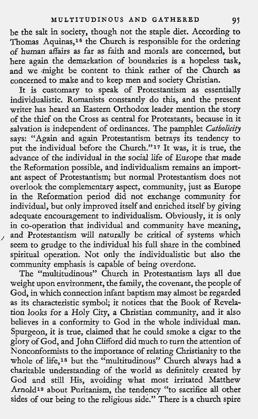be the salt in society, though not the staple diet. According to Thomas Aquinas,<sup>16</sup> the Church is responsible for the ordering of human affairs as far as faith and morals are concerned, but here again the demarkation of boundaries is a hopeless task, and we might be content to think rather of the Church as concerned to make and to keep men and society Christian.

It is customary to speak of Protestantism as essentially individualistic. Romanists constantly do this, and the present writer has heard an Eastern Orthodox leader mention the story of the thief on the Cross as central for Protestants, because in it salvation is independent of ordinances. The pamphlet *Catholicity* says: "Again and again Protestantism betrays its tendency to put the individual before the Church."<sup>17</sup> It was, it is true, the advance of the individual in the social life of Europe that made the Reformation possible, and individualism remains an important aspect of Protestantism; but normal Protestantism does not overlook the complementary aspect, community, just as Europe in the Reformation period did not exchange community for individual, but only improved itself and enriched itself by giving adequate encouragement to individualism. Obviously, it is only in co-operation that individual and community have meaning, adequate encouragement to individualism. Obviously, it is only<br>in co-operation that individual and community have meaning,<br>and Protestantism will naturally be critical of systems which seem to grudge to the individual his full share in the combined spiritual operation. Not only the individualistic but also the community emphasis is capable of being overdone.

The "multitudinous" Church in Protestantism lays all due weight upon environment, the family, the covenant, the people of God, in which connection infant baptism may almost be regarded as its characteristic symbol; it notices that the Book of Revelation looks for a Holy City, a Christian community, and it also believes in a conformity to God in the whole individual man. Spurgeon, it is true, claimed that he could smoke a cigar to the glory of God, and John Clifford did much to turn the attention of Nonconformists to the importance of relating Christianity to the whole of life,<sup>18</sup> but the "multitudinous" Church always had a charitable understanding of the world as definitely created by God and still His, avoiding what most irritated Matthew Arnold<sup>19</sup> about Puritanism, the tendency "to sacrifice all other sides of our being to the religious side." There is a church spire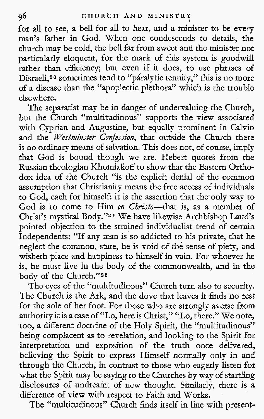for all to see, a bell for all to hear, and a minister to be every man's father in God. When one condescends to details, the church may be cold, the bell far from sweet and the minister not particularly eloquent, for the mark of this system is goodwill rather than efficiency; but even if it does, to use phrases of Disraeli,<sup>20</sup> sometimes tend to "páralytic tenuity," this is no more of a disease than the "apoplectic plethora" which is the trouble elsewhere.

The separatist may be in danger of undervaluing the Church, but the Church "multitudinous" supports the view associated with Cyprian and Augustine, but equally prominent in Calvin and the Westminster Confession, that outside the Church there is no ordinary means of salvation. This does not, of course, imply that God is bound though we are. Hebert quotes from the Russian theologian Khomialkoff to show that the Eastern Orthodox idea of the Church "is the explicit denial of the common assumption that Christianity means the free access of individuals to God, each for himself: it is the assertion that the only way to God is to come to Him en Christo-that is, as a member of Christ's mystical Body."21 We have likewise Archbishop Laud's pointed objection to the strained individualist trend of certain Independents: "If any man is so addicted to his private, that he neglect the common, state, he is void of the sense of piety, and wisheth place and happiness to himself in vain. For whoever he is, he must live in the body of the commonwealth, and in the body of the Church."22

The eyes of the "multitudinous" Church turn also to security. The Church is the Ark, and the dove that leaves it finds no rest for the sole of her foot. For those who are strongly averse from authority it is a case of "Lo, here is Christ," "Lo, there." We note, too, a different doctrine of the Holy Spirit, the "multitudinous" being complacent as to revelation, and looking to the Spirit for interpretation and exposition of the truth once delivered, believing the Spirit to express Himself normally only in and through the Church, in contrast to those who eagerly listen for what the Spirit may be saying to the Churches by way of startling disclosures of undreamt of new thought. Similarly, there is a difference of view with respect to Faith and Works.

The "multitudinous" Church finds itself in line with present-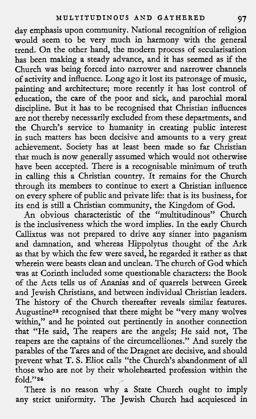day emphasis upon community. National recognition of religion would seem to be very much in harmony with the general trend. On the other hand, the modern process of secularisation has been making a steady advance, and it has seemed as if the Church was being forced into narrower and narrower channels of activity and influence. Long ago it lost its patronage of music, painting and architecture; more recently it has lost control of education, the care of the poor and sick, and parochial moral discipline. But it has to be recognised that Christian influences are not thereby necessarily excluded from these departments, and the Church's service to humanity in creating public interest in such matters has been decisive and amounts to a very great achievement. Society has at least been made so far Christian that much is now generally assumed which would not otherwise have been accepted. There is a recognisable minimum of truth in calling this a Christian country. It remains for the Church through its members to continue to exert a Christian influence on every sphere of public and private life: that is its business, for its end is still a Christian community, the Kingdom of God.

An obvious characteristic of the "multitudinous" Church is the inclusiveness which the word implies. In the early Church Callixtus was not prepared to drive any sinner into paganism and damnation, and whereas Hippolytus thought of the Ark as that by which the few were saved, he regarded it rather as that wherein were beasts clean and unclean. The church of God which was at Corinth included some questionable characters: the Book of the Acts tells us of Ananias and of quarrels between Greek and Jewish Christians, and between individual Christian leaders. The history of the Church thereafter reveals similar features. Augustine<sup>23</sup> recognised that there might be "very many wolves within," and he pointed out pertinently in another connection that "He said, The reapers are the angels; He said not, The reapers are the captains of the circumcelliones." And surely the parables of the Tares and of the Dragnet are decisive, and should prevent what T. S. Eliot calls "the Church's abandonment of all hose who are not by their wholehearted profession within the fold."24

There is no reason why a State Church ought to imply any strict uniformity. The Jewish Church had acquiesced in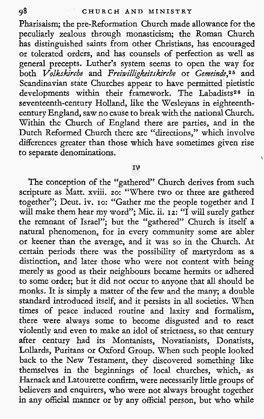Pharisaism; the pre-Reformation Church made allowance for the peculiarly zealous through monasticism; the Roman Church has distinguished saints from other Christians, has encouraged or tolerated orders, and has counsels of perfection as well as general precepts. Luther's system seems to open the way for both Volkskirche and Freiwilligkeitskirche or Gemeinde,<sup>25</sup> and Scandinavian state Churches appear to have permitted pietistic developments within their framework. The Labadists<sup>26</sup> in seventeenth-century Holland, like the Wesleyans in eighteenthcentury England, saw no cause to break with the national Church. Within the Church of England there are parties, and in the Dutch Reformed Church there are "directions," which involve differences greater than those which have sometimes given rise to separate denominations. ,

IV

The conception of the "gathered" Church derives from such scripture as Matt. xviii. 20: "Where two or three are gathered together"; Deut. iv. 10: "Gather me the people together and I will make them hear my word"; Mic. ii. 12: "I will surely gather the remnant of Israel"; but the "gathered" Church is itself a natural phenomenon, for in every community some are abler or keener than the average, and it was so in the Church. At certain periods there was the possibility of martyrdom as a distinction, and later those who were not content with being merely as good as their neighbours became hermits or adhered to some order; but it did not occur to anyone that all should be monks. It is simply a matter of the few and the many; a double standard introduced itself, and it persists in all societies. When times of peace induced routine and laxity and formalism, there were always some to become disgusted and to react violently and even to make an idol of strictness, so that century after century had its Montanists, Novatianists, Donatists, Lollards, Puritans or Oxford Group. When such people looked back to the New Testament, they discovered something like themselves in the beginnings of local churches, which, as Harnack and Latourette confirm, were necessarily little groups of believers and enquirers, who were not always brought together in any official manner or by any official person, but who while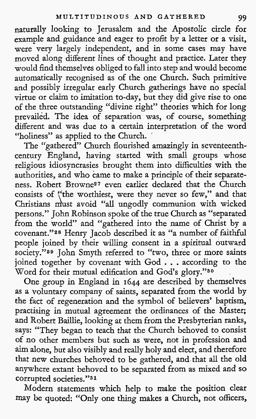naturally looking to Jerusalem and the Apostolic circle for example and guidance and eager to profit by a letter or a visit, were very largely independent, and in some cases may have moved along different lines of thought and practice. Later they would find themselves obliged to fall into step and would become automatically recognised as of the one Church. Such primitive and possibly irregular early Church gatherings have no special virtue or claim to imitation to-day, but they did give rise to one of the three outstanding "divine right" theories which for long prevailed. The idea of separation was, of course, something different and was due to a certain interpretation of the word "holiness" as applied to the Church. '

The "gathered" Church flourished amazingly in seventeenthcentury England, having started with small groups whose religious idiosyncrasies brought them into difficulties with the authorities, and who came to make a principle of their separateness. Robert Browne27 even earlier declared that the Church consists of "the worthiest, were they never so few," and that Christians must avoid "all ungodly communion with wicked persons." John Robinson spoke of the true Church as "separated from the world" and "gathered into the name of Christ by a covenant."28 Henry Jacob described it as "a number of faithful people joined by their willing consent in a spiritual outward society."<sup>29</sup> John Smyth referred to "two, three or more saints joined together by covenant with God . . . according to the Word for their mutual edification and God's glory."so

One group in England in **1644** are described by themselves as a voluntary company of saints, separated from the world by the fact of regeneration and the symbol of believers' baptism, practising in mutual agreement the ordinances of the Master; and Robert Baillie, looking at them from the Presbyterian ranks, says: "They began to teach that the Church behoved to consist of no other members but such as were, not in profession and aim alone, but also visibly and really holy and elect, and therefore that new churches behoved to be gathered, and that all the old anywhere extant behoved to be separated from as mixed and so corrupted societies."31

Modern statements which help to make the position clear may be quoted: "Only one thing makes a Church, not officers,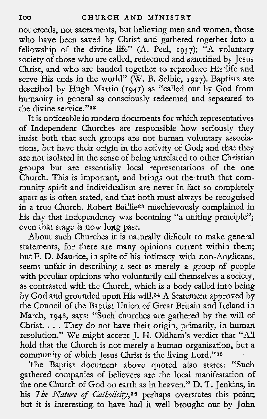not creeds, not sacraments, but believing men and women, those who have been saved by Christ and gathered together into a fellowship of the divine life" (A. Peel, 1937); "A voluntary society of those who are called, redeemed and sanctified by Jesus Christ, and who are banded together to reproduce His life and serve His ends in the world'' (W. B. Selbie, 1927). Baptists are described by Hugh Martin (1941) as "called out by God from humanity in general as consciously redeemed and separated to the divine service."32

It is noticeable in modern documents for which representatives of Independent Churches are responsible how seriously they insist both that such groups are not human voluntary associations, but have their origin in the activity of God; and that they are not isolated in the sense of being unrelated to other Christian groups but are essentially local representations of the one Church. This is important, and brings out the truth that community spirit and individualism are never in fact so completely apart as is often stated, and that both must always be recognised in a true Church. Robert Baillie33 mischievously complained in his day that Independency was becoming "a uniting principle"; even that stage is now lopg past.

About such Churches it is naturally difficult to make general statements, for there are many opinions current within them; but F. D. Maurice, in spite of his intimacy with non-Anglicans, seems unfair in describing a sect as merely a group of people with peculiar opinions who voluntarily call themselves a society, as contrasted with the Church, which is a body called into being by God and grounded upon His wi11.34 A Statement approved by the Council of the Baptist Union of Great Britain and Ireland in March, 1948, says: "Such churches are gathered by the will of Christ. . . . They do not have their origin, primarily, in human resolution." We might accept J. H. Oldham's verdict that "All hold that the Church is not merely a human organisation, but a community of which Jesus Christ is the living Lord."35

The Baptist document above quoted also states: "Such gathered companies of believers are the local manifestation of the one Church of God on earth as in heaven." D. T. Jenkins, in his The Nature of Catholicity,<sup>36</sup> perhaps overstates this point; his The Nature of Catholicity,<sup>36</sup> perhaps overstates this point; but it is interesting to have had it well brought out by John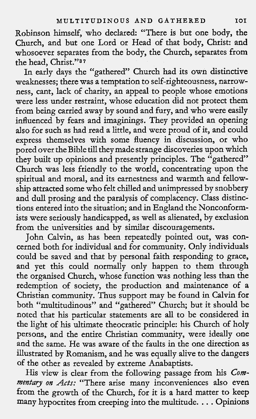Robjnson himself, who declared: "There is but one body, the Church, and but one Lord or Head of that body, Christ: and whosoever separates from the body, the Church, separates from the head, Christ."37

In early days the "gathered" Church had its own distinctive weaknesses; there was a temptation to self-righteousness, narrowness, cant, lack of charity, an appeal to people whose emotions were less under restraint, whose education did not protect them from being carried away by sound and fury, and who were easily influenced by fears and imaginings. They provided an opening also for such as had read a little, and were proud of it, and could express themselves with some fluency in discussion, or who pored over the Bible till they made strange discoveries upon which they built up opinions and presently principles. The "gathered" Church was less friendly to the world, concentrating upon the spiritual and moral, and its earnestness and warmth and fellowship attracted some who felt chilled and unimpressed by snobbery and dull prosing and the paralysis of complacency. Class distinctions entered into the situation; and in England the Nonconformists were seriously handicapped, as well as alienated, by exclusion from the universities and by similar discouragements.

John Calvin, as has been repeatedly pointed out, was concerned both for individual and for community. Only individuals could be saved and that by personal faith responding to grace, and yet this could normally only happen to them through the organised Church, whose function was nothing less than the redemption of society, the production and maintenance of a Christian community. Thus support may be found in Calvin for both "multitudinous" and "gathered" Church; but it should be noted that his particular statements are all to be considered in the light of his ultimate theocratic principle: his Church of holy persons, and the entire Christian community, were ideally one and the same. He was aware of the faults in the one direction as illustrated by Romanism, and he was equally alive to the dangers of the other as revealed by extreme Anabaptists.

His view is clear from the following passage from his Com*mentary on Acts:* "There arise many inconveniences also even from the growth of the Church, for it is a hard matter to keep many hypocrites from creeping into the multitude. . . . Opinions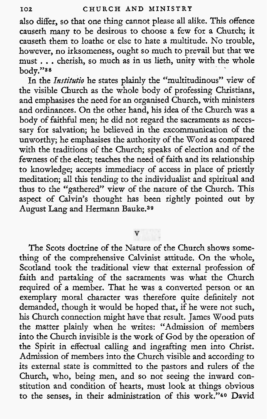also differ, so that one thing cannot please all alike. This offence causeth many to be desirous to choose a few for a Church; it causeth them to loathe or else to hate a multitude. No trouble, however, no irksomeness, ought so much to prevail but that we must . . . cherish, so much as in us lieth, unity with the whole body."as

In the *Institutio* he states plainly the "multitudinous" view of the visible Church as the whole body of professing Christians, and emphasises the need for an organised Church, with ministers and ordinances. On the other hand, his idea of the Church was a body of faithful men; he did not regard the sacraments as necessary for salvation; he believed in the excommunication of the unworthy; he emphasises the authority of the Word as compared with the traditions of the Church; speaks of election and of the fewness of the elect; teaches the need of faith and its relationship to knowledge; accepts immediacy of access in place of priestly meditation; all this tending to the individualist and spiritual and thus to the "gathered" view of the nature of the Church. This aspect of Calvin's thought has been rightly pointed out by August Lang and Hermann Bauke.39

The Scots doctrine of the Nature of the Church shows something of the comprehensive Calvinist attitude. On the whole, Scotland took the traditional view that external profession of faith and partaking of the sacraments was what the Church required of a member. That he was a converted person or an exemplary moral character was therefore quite definitely not demanded, though it would be hoped that, if he were not such, his Church connection might have that result. James Wood puts the matter plainly when he writes: "Admission of members into the Church invisible is the work of God by the operation of the Spirit in effectual calling and ingrafting men into Christ. Admission of members into the Church visible and according to its external state is committed to the pastors and rulers of the Church, who, being men, and so not seeing the inward constitution and condition of hearts, must look at things obvious to the senses, in their administration of this work."4o David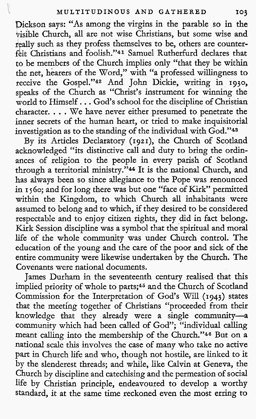Dickson says: "As among the virgins in the parable so in the visible Church, all are not wise Christians, but some wise and really such as they profess themselves to be, others are counter-<sup>I</sup>feit Christians and foolish."41 Samuel Rutherfurd declares that to be members of the Church implies only "that they be within the net, hearers of the Word," with "a professed willingness to receive the Gospel."<sup>42</sup> And John Dickie, writing in 1930, speaks of the Church as "Christ's instrument for winning the world to Himself... God's school for the discipline of Christian character. . . . We have never either presumed to penetrate the inner secrets of the human heart, or tried to make inquisitorial investigation as to the standing of the individual with God."43

By its Articles Declaratory (1921), the Church of Scotland acknowledged "its distinctive call and duty to bring the ordinances of religion to the people in every parish of Scotland through a territorial ministry."<sup>44</sup> It is the national Church, and has always been so since allegiance to the Pope was renounced in I **5 60;** and for long there was but one "face of Kirk" permitted within the Kingdom, to which Church all inhabitants were assumed to belong and to which, if they desired to be considered respectable and to enjoy citizen rights, they did in fact belong. Kirk Session discipline was a symbol that the spiritual and moral life of the whole community was under Church control. The education of the young and the care of the poor and sick of the entire community were likewise undertaken by the Church. The Covenants were national documents.

James Durham in the seventeenth century realised that this implied priority of whole to parts;<sup>45</sup> and the Church of Scotland Commission for the Interpretation of God's Will (1943) states that the meeting together of Christians "proceeded from their knowledge that they already were a single community-a community which had been called of God"; "individual calling meant calling into the membership of the Church."46 But on a national scale this involves the case of many who take no active part in Church life and who, though not hostile, are linked to it by the slenderest threads; and while, like Calvin at Geneva, the Church by discipline and catechising and the permeation of social life by Christian principle, endeavoured to develop a worthy standard, it at the same time reckoned even the most erring to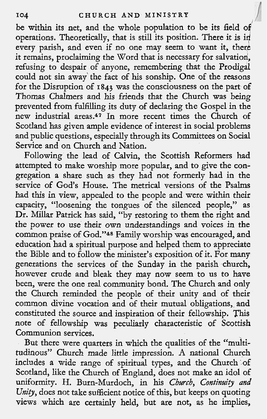be within its net, and the whole population to be its field of operations. Theoretically, that is still its position. There it is in every parish, and even if no one may seem to want it, there it remains, proclaiming the Word that is necessary for salvation, refusing to despair of anyone, remembering that the Prodigal could not sin away the fact of his sonship. One of the reasons for the Disruption of **1843** was the consciousness on the part of Thomas Chalmers and his friends that the Church was being prevented from fulfilling its duty of declaring the Gospel in the new industrial areas.47 In more recent times the Church of Scotland has given ample evidence of interest in social problems and public questions, especially through its Committees on Social Service and on Church and Nation.

Following the lead of Calvin, the Scottish Reformers had attempted to make worship more popular, and to give the congregation a share such as they had not formerly had in the service of God's House. The metrical versions of the Psalms had this in view, appealed to the people and were within their capacity, "loosening the tongues of the silenced people," as Dr. Millar Patrick has said, "by restoring to them the right and the power to use their own understandings and voices in the common praise of God."4s Family worship was encouraged, and education had a spiritual purpose and helped them to appreciate the Bible and to follow the minister's exposition of it. For many generations the services of the Sunday in the parish church, however crude and bleak they may now seem to us to have been, were the one real community bond. The Church and only the Church reminded the people of their unity and of their common divine vocation and of their mutual obligations, and constituted the source and inspiration of their fellowship. This note of fellowship was peculiarly characteristic of Scottish Communion services.

But there were quarters in which the qualities of the "multitudinous" Church made little impression. **A** national Church includes a wide range of spiritual types, and the Church of Scotland, like the Church of England, does not make an idol of uniformity. H. Burn-Murdoch, in his Church, Continuity *and*  Unity, does not take sufficient notice of this, but keeps on quoting views which are certainly held, but are not, as he implies,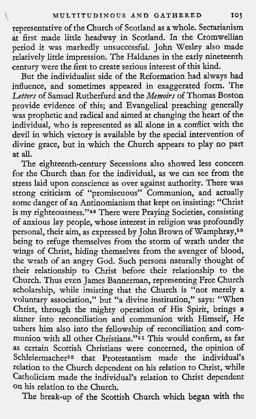epresentative of the Church of Scotland as a whole. Sectarianism at first made little headway in Scotland. In the Cromwellian period it was markedly unsuccessful. John Wesley also made relatively little impression. The Haldanes in the early nineteenth century were the first to create serious interest of this kind.

But the individualist side of the Reformation had always had influence, and sometimes appeared in exaggerated form. The Letters of Samuel Rutherfurd and the *Memoirs* of Thomas Boston provide evidence of this; and Evangelical preaching generally was prophetic and radical and aimed at changing the heart of the individual, who is represented as all alone in a conflict with the devil in which victory is available by the special intervention of divine grace, but in which the Church appears to play no part at all.

The eighteenth-century Secessions also showed less cohcern for the Church than for the individual, as we can see from the stress laid upon conscience as over against authority. There was strong criticism of "promiscuous" Communion, and actually some danger of an Antinomianism that kept on insisting: "Christ is my righteousness."49 There were Praying Societies, consisting of anxious lay people, whose interest in religion was profoundly personal, their aim, as expressed by John Brown of Wamphray,<sup>50</sup> being to refuge themselves from the storm of wrath under the wings of Christ, hiding themselves from the avenger of blood, the wrath of an angry God. Such persons naturally thought of their relationship to Christ before their relationship to the Church. Thus even James Bannerman, representing Free Church scholarship, while insisting that the Church is "not merely a voluntary association," but "a divine institution," says: "When Christ, through the mighty operation of His Spirit, brings a sinner into reconciliation and communion with Himself, He ushers him also into the fellowship of reconciliation and communion with **all** other Christians."51 This would confirm, as far as certain Scottish Christians were concerned, the opinion of Schleiermacher52 that Protestantism made the individual's relation to the Church dependent on his relation to Christ, while Catholicism made the individual's relation to Christ dependent on his relation to the Church.

The break-up of the Scottish Church which began with the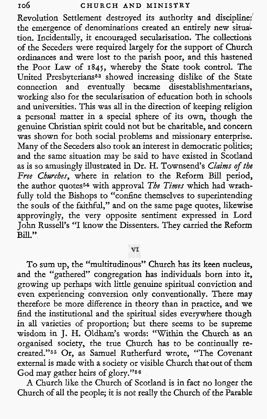Revolution Settlement destroyed its authority and discipline;' the emergence of denominations created an entirely new situaltion. Incidentally, it encouraged secularisation. The collections of the Seceders were required largely for the support of Church ordinances and were lost to the parish poor, and this hastened the Poor Law of **1841,** whereby the State took control. The United Presbyterians<sup>53</sup> showed increasing dislike of the State connection and eventually became disestablishmentarians, working also for the secularisation of education both in schools and universities. This was all in the direction of keeping religion a personal matter in a special sphere of its own, though the genuine Christian spirit could not but be charitable, and concern was shown for both social problems and missionary enterprise. Many of the Seceders also took an interest in democratic politics; and the same situation may be said to have existed in Scotland as is so amusingly illustrated in Dr. H. Townsend's Claims of **the**  Free Churches, where in relation to the Reform Bill period, the author quotes54 with approval **The Times** which had wrathfully told the Bishops to "confine themselves to superintending the souls of the faithful," and on the same page quotes, likewise approvingly, the very opposite sentiment expressed in Lord John Russell's "I know the Dissenters. They carried the Reform Bill."

## VI

To sum up, the "multitudinous" Church has its keen nucleus, and the "gathered" congregation has individuals born into it, growing up perhaps with little genuine spiritual conviction and even experiencing conversion only conventionally. There may therefore be more difference in theory than in practice, and we find the institutional and the spiritual sides everywhere though in all varieties of proportion; but there seems to be supreme wisdom in J. H. Oldham's words: "Within the Church as an organised society, the true Church has to be continually recreated."66 Or, as Samuel Rutherfurd wrote, "The Covenant external is made with a society or visible Church that out of them God may gather heirs of glory."66

A Church like the Church of Scotland is in fact no longer the Church of all the people; it is not really the Church of the Parable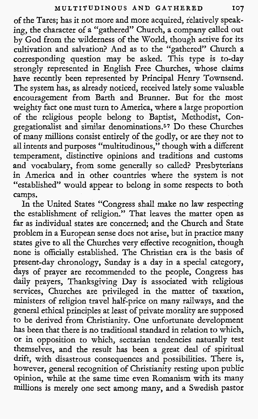of the Tares; has it not more and more acquired, relatively speaking, the character of a "gathered" Church, a company called out by God from the wilderness of the World, though active for its cultivation and salvation? And as to the "gathered" Church a corresponding question may be asked. This type is to-day strongly represented in English Free Churches, whose claims have recently been represented by Principal Henry Townsend. The system has, as already noticed, received lately some valuable encouragement from Barth and Brumer. But for the most weighty fact one must turn to America, where a large proportion of the religious people belong to Baptist, Methodist, Congregationalist and similar denominations.57 Do these Churches of many millions consist entirely of the godly, or are they not to all intents and purposes "multitudinous," though with a different temperament, distinctive opinions and traditions and customs and vocabulary, from some generally so called? Presbyterians in America and in other countries where the system is not "established" would appear to belong in some respects to both camps.

In the United States "Congress shall make no law respecting the establishment of religion." That leaves the matter open as far as individual states are concerned: and the Church and State problem in a European sense does not arise, but in practice many states give to all the Churches very effective recognition, though none is officially established. The Christian era is the basis of present-day chronology, Sunday is a day in a special category, days of prayer are recommended to the people, Congress has daily prayers, Thanksgiving Day is associated with religious services, Churches are privileged in the matter of taxation, ministers of religion travel half-price on many railways, and the general ethical principles at least of private morality are supposed to be derived from Christianity. One unfortunate development has been that there is no traditional standard in relation to which, or in opposition to which, sectarian tendencies naturally test themselves, and the result has been a great deal of spiritual drift, with disastrous consequences and possibilities. There is, however, general recognition of Christianity resting upon public opinion, while at the same time even Romanism with its many millions is merely one sect among many, and a Swedish pastor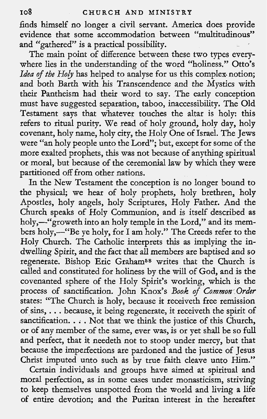finds himself no longer a civil servant. America does provide evidence that some accommodation between "multitudinous" and "gathered" is a practical possibility.

The main point of difference between these two types everywhere lies in the understanding of the word "holiness." Otto's Idea of the Holy has helped to analyse for us this complex notion; and both Barth with his Transcendence and the Mystics with their Pantheism had their word to say. The early conception must have suggested separation, taboo, inaccessibility. The Old Testament says that whatever touches the altar is holy: this refers to ritual purity. We read of holy ground, holy day, holy covenant, holy name, holy city, the Holy One of Israel. The Jews were "an holy people unto the Lord"; but, except for some of the more exalted prophets, this was not because of anything spiritual or moral, but because of the ceremonial law by which they were partitioned off from other nations.

In the New Testament the conception is no longer bound to the physical; we hear of holy prophets, holy brethren, holy Apostles, holy angels, holy Scriptures, Holy Father. And the Church speaks of Holy Communion, and is itself described as holy,—"groweth into an holy temple in the Lord," and its members holy,-"Be ye holy, for I am holy." The Creeds refer to the Holy Church. The Catholic interprets this as implying the indwelling Spirit, and the fact that all members are baptised and so regenerate. Bishop Eric Graham58 writes that the Church is called and constituted for holiness by the will of God, and is the covenanted sphere of the Holy Spirit's working, which is the process of sanctification. John Knox's *Book* of *Common-Order*  states: "The Church is holy, because it receiveth free remission of sins, . . . because, it being regenerate, it receiveth the spirit of sanctification. . . . Not that we think the justice of this Church, or of any member of the same, ever was, is or yet shall be so full and perfect, that it needeth not to stoop under mercy, but that because the imperfections are pardoned and the justice of Jesus Christ imputed unto such as by true faith cleave unto Him."

Certain individuals and groups have aimed at spiritual and moraI perfection, as in some cases under monasticism, striving to keep themselves unspotted from the world and living a life of entire devotion; and the Puritan interest in the hereafter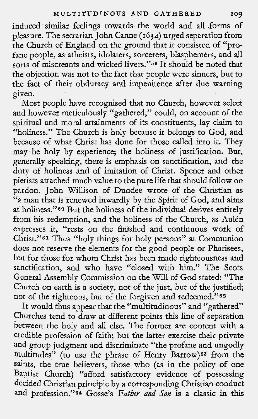induced similar feelings towards the world and all forms of pleasure. The sectarian John Canne **(1634)** urged separation from the Church of England on the ground that it consisted of "profane people, as atheists, idolaters, sorcerers, blasphemers, and all sorts of miscreants and wicked livers."69 It should be noted that the objection was not to the fact that people were sinners, but to the fact of their obduracy and impenitence after due warning given.

Most people have recognised that no Church, however select and however meticulously "gathered," could, on account of the spiritual and moral attainments of its constituents, lay claim to "holiness." The Church is holy because it belongs to God, and because of what Christ has done for those called into it. They may be holy by experience; the holiness of justification. But, generally speaking, there is emphasis on sanctification, and the duty of holiness and of imitation of Christ. Spener and other pietists attached much value to the pure life that should follow on pardon. John Willison of Dundee wrote of the Christian as "a man that is renewed inwardly by the Spirit of God, and aims at holiness."60 But the holiness of the individual derives entirely from his redemption, and the holiness of the Church, as Aulén expresses it, "rests on the finished and continuous work of Christ."61 Thus "holy things for holy persons" at Communion does not reserve the elements for the good people or Pharisees, but for those for whom Christ has been made righteousness and sanctification, and who have "closed with him." The Scots General Assembly Commission on the Will of God stated: "The Church on earth is a society, not of the just, but of the justified; not of the righteous, but of the forgiven and redeemed."<sup>62</sup>

It would thus appear that the "multitudinous" and "gathered" Churches tend to draw at different points this line of separation between the holy and all else. The former are content with a credible profession of faith; but the latter exercise their private and group judgment and discriminate "the profane and ungodly multitudes" (to use the phrase of Henry Barrow)<sup>63</sup> from the saints, the true believers, those who (as in the policy of one Baptist Church) "afford satisfactory evidence of possessing decided Christian principle by a corresponding Christian conduct and profession."64 Gosse's *Father and Son* is a classic in this